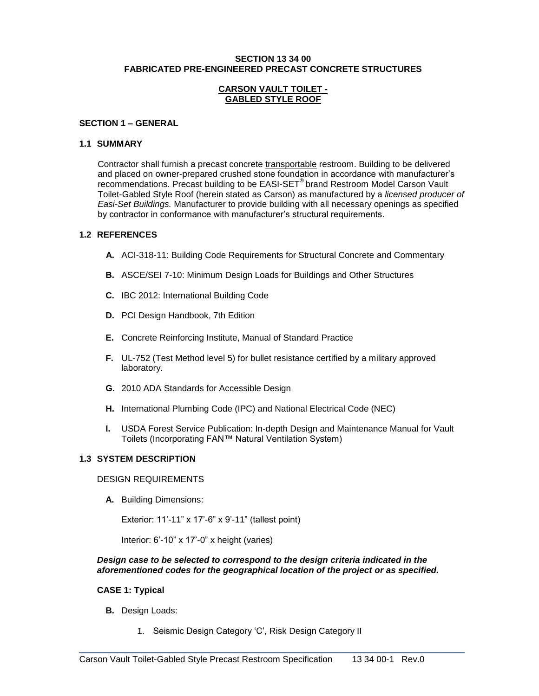#### **SECTION 13 34 00 FABRICATED PRE-ENGINEERED PRECAST CONCRETE STRUCTURES**

### **CARSON VAULT TOILET - GABLED STYLE ROOF**

### **SECTION 1 – GENERAL**

#### **1.1 SUMMARY**

Contractor shall furnish a precast concrete transportable restroom. Building to be delivered and placed on owner-prepared crushed stone foundation in accordance with manufacturer's recommendations. Precast building to be EASI-SET® brand Restroom Model Carson Vault Toilet-Gabled Style Roof (herein stated as Carson) as manufactured by a *licensed producer of Easi-Set Buildings.* Manufacturer to provide building with all necessary openings as specified by contractor in conformance with manufacturer's structural requirements.

### **1.2 REFERENCES**

- **A.** ACI-318-11: Building Code Requirements for Structural Concrete and Commentary
- **B.** ASCE/SEI 7-10: Minimum Design Loads for Buildings and Other Structures
- **C.** IBC 2012: International Building Code
- **D.** PCI Design Handbook, 7th Edition
- **E.** Concrete Reinforcing Institute, Manual of Standard Practice
- **F.** UL-752 (Test Method level 5) for bullet resistance certified by a military approved laboratory.
- **G.** 2010 ADA Standards for Accessible Design
- **H.** International Plumbing Code (IPC) and National Electrical Code (NEC)
- **I.** USDA Forest Service Publication: In-depth Design and Maintenance Manual for Vault Toilets (Incorporating FAN™ Natural Ventilation System)

# **1.3 SYSTEM DESCRIPTION**

### DESIGN REQUIREMENTS

**A.** Building Dimensions:

Exterior: 11'-11" x 17'-6" x 9'-11" (tallest point)

Interior: 6'-10" x 17'-0" x height (varies)

#### *Design case to be selected to correspond to the design criteria indicated in the aforementioned codes for the geographical location of the project or as specified.*

\_\_\_\_\_\_\_\_\_\_\_\_\_\_\_\_\_\_\_\_\_\_\_\_\_\_\_\_\_\_\_\_\_\_\_\_\_\_\_\_\_\_\_\_\_\_\_\_\_\_\_\_\_\_\_\_\_\_\_\_\_\_\_\_\_\_\_\_\_\_\_\_\_

# **CASE 1: Typical**

- **B.** Design Loads:
	- 1. Seismic Design Category 'C', Risk Design Category II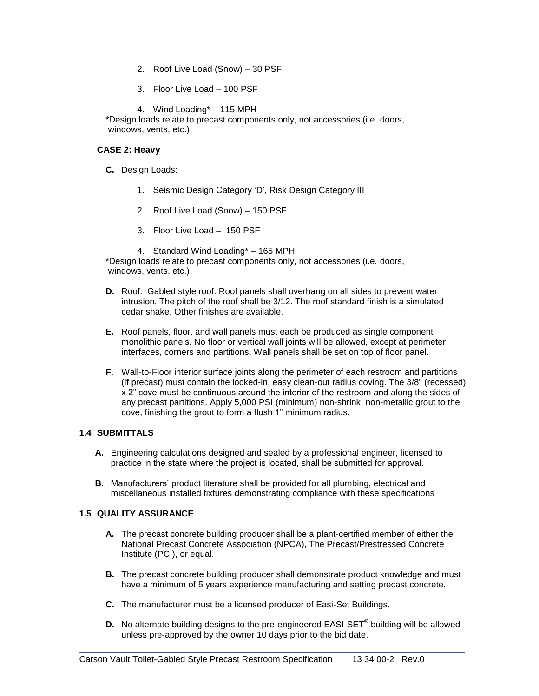- 2. Roof Live Load (Snow) 30 PSF
- 3. Floor Live Load 100 PSF
- 4. Wind Loading\* 115 MPH

\*Design loads relate to precast components only, not accessories (i.e. doors, windows, vents, etc.)

### **CASE 2: Heavy**

- **C.** Design Loads:
	- 1. Seismic Design Category 'D', Risk Design Category III
	- 2. Roof Live Load (Snow) 150 PSF
	- 3. Floor Live Load 150 PSF
	- 4. Standard Wind Loading\* 165 MPH

\*Design loads relate to precast components only, not accessories (i.e. doors, windows, vents, etc.)

- **D.** Roof: Gabled style roof. Roof panels shall overhang on all sides to prevent water intrusion. The pitch of the roof shall be 3/12. The roof standard finish is a simulated cedar shake. Other finishes are available.
- **E.** Roof panels, floor, and wall panels must each be produced as single component monolithic panels. No floor or vertical wall joints will be allowed, except at perimeter interfaces, corners and partitions. Wall panels shall be set on top of floor panel.
- **F.** Wall-to-Floor interior surface joints along the perimeter of each restroom and partitions (if precast) must contain the locked-in, easy clean-out radius coving. The 3/8" (recessed) x 2" cove must be continuous around the interior of the restroom and along the sides of any precast partitions. Apply 5,000 PSI (minimum) non-shrink, non-metallic grout to the cove, finishing the grout to form a flush 1" minimum radius.

# **1.4 SUBMITTALS**

- **A.** Engineering calculations designed and sealed by a professional engineer, licensed to practice in the state where the project is located, shall be submitted for approval.
- **B.** Manufacturers' product literature shall be provided for all plumbing, electrical and miscellaneous installed fixtures demonstrating compliance with these specifications

### **1.5 QUALITY ASSURANCE**

- **A.** The precast concrete building producer shall be a plant-certified member of either the National Precast Concrete Association (NPCA), The Precast/Prestressed Concrete Institute (PCI), or equal.
- **B.** The precast concrete building producer shall demonstrate product knowledge and must have a minimum of 5 years experience manufacturing and setting precast concrete.
- **C.** The manufacturer must be a licensed producer of Easi-Set Buildings.
- **D.** No alternate building designs to the pre-engineered EASI-SET**®** building will be allowed unless pre-approved by the owner 10 days prior to the bid date.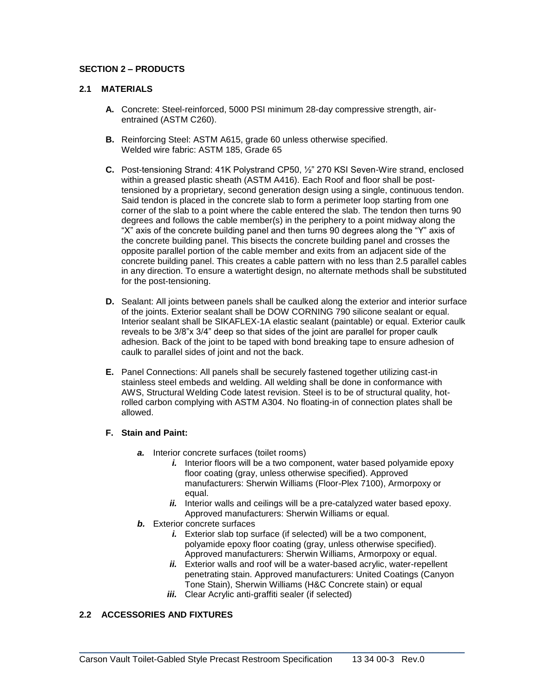# **SECTION 2 – PRODUCTS**

### **2.1 MATERIALS**

- **A.** Concrete: Steel-reinforced, 5000 PSI minimum 28-day compressive strength, airentrained (ASTM C260).
- **B.** Reinforcing Steel: ASTM A615, grade 60 unless otherwise specified. Welded wire fabric: ASTM 185, Grade 65
- **C.** Post-tensioning Strand: 41K Polystrand CP50, ½" 270 KSI Seven-Wire strand, enclosed within a greased plastic sheath (ASTM A416). Each Roof and floor shall be posttensioned by a proprietary, second generation design using a single, continuous tendon. Said tendon is placed in the concrete slab to form a perimeter loop starting from one corner of the slab to a point where the cable entered the slab. The tendon then turns 90 degrees and follows the cable member(s) in the periphery to a point midway along the "X" axis of the concrete building panel and then turns 90 degrees along the "Y" axis of the concrete building panel. This bisects the concrete building panel and crosses the opposite parallel portion of the cable member and exits from an adjacent side of the concrete building panel. This creates a cable pattern with no less than 2.5 parallel cables in any direction. To ensure a watertight design, no alternate methods shall be substituted for the post-tensioning.
- **D.** Sealant: All joints between panels shall be caulked along the exterior and interior surface of the joints. Exterior sealant shall be DOW CORNING 790 silicone sealant or equal. Interior sealant shall be SIKAFLEX-1A elastic sealant (paintable) or equal. Exterior caulk reveals to be 3/8"x 3/4" deep so that sides of the joint are parallel for proper caulk adhesion. Back of the joint to be taped with bond breaking tape to ensure adhesion of caulk to parallel sides of joint and not the back.
- **E.** Panel Connections: All panels shall be securely fastened together utilizing cast-in stainless steel embeds and welding. All welding shall be done in conformance with AWS, Structural Welding Code latest revision. Steel is to be of structural quality, hotrolled carbon complying with ASTM A304. No floating-in of connection plates shall be allowed.

#### **F. Stain and Paint:**

- *a.* Interior concrete surfaces (toilet rooms)
	- *i.* Interior floors will be a two component, water based polyamide epoxy floor coating (gray, unless otherwise specified). Approved manufacturers: Sherwin Williams (Floor-Plex 7100), Armorpoxy or equal.
	- *ii.* Interior walls and ceilings will be a pre-catalyzed water based epoxy. Approved manufacturers: Sherwin Williams or equal.
- *b.* Exterior concrete surfaces
	- *i.* Exterior slab top surface (if selected) will be a two component, polyamide epoxy floor coating (gray, unless otherwise specified). Approved manufacturers: Sherwin Williams, Armorpoxy or equal.
	- *ii.* Exterior walls and roof will be a water-based acrylic, water-repellent penetrating stain. Approved manufacturers: United Coatings (Canyon Tone Stain), Sherwin Williams (H&C Concrete stain) or equal
	- *iii.* Clear Acrylic anti-graffiti sealer (if selected)

# **2.2 ACCESSORIES AND FIXTURES**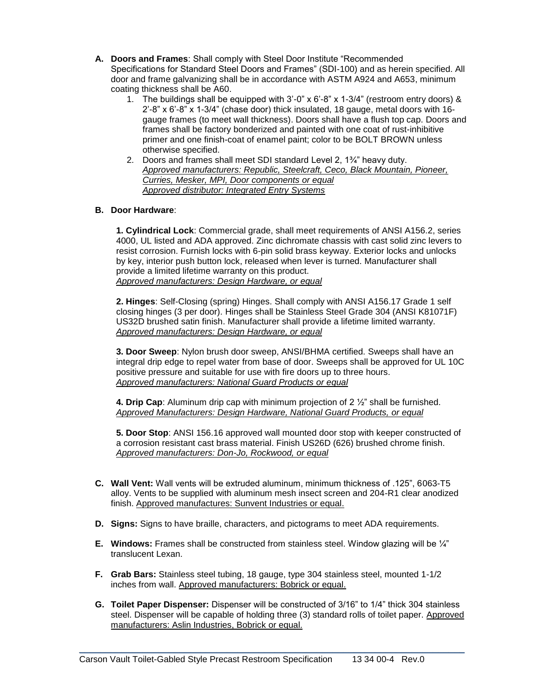- **A. Doors and Frames**: Shall comply with Steel Door Institute "Recommended Specifications for Standard Steel Doors and Frames" (SDI-100) and as herein specified. All door and frame galvanizing shall be in accordance with ASTM A924 and A653, minimum coating thickness shall be A60.
	- 1. The buildings shall be equipped with  $3^{\prime}$ -0" x  $6^{\prime}$ -8" x 1-3/4" (restroom entry doors) & 2'-8" x 6'-8" x 1-3/4" (chase door) thick insulated, 18 gauge, metal doors with 16 gauge frames (to meet wall thickness). Doors shall have a flush top cap. Doors and frames shall be factory bonderized and painted with one coat of rust-inhibitive primer and one finish-coat of enamel paint; color to be BOLT BROWN unless otherwise specified.
	- 2. Doors and frames shall meet SDI standard Level 2, 1¾" heavy duty. *Approved manufacturers: Republic, Steelcraft, Ceco, Black Mountain, Pioneer, Curries, Mesker, MPI, Door components or equal Approved distributor: Integrated Entry Systems*

# **B. Door Hardware**:

**1. Cylindrical Lock**: Commercial grade, shall meet requirements of ANSI A156.2, series 4000, UL listed and ADA approved. Zinc dichromate chassis with cast solid zinc levers to resist corrosion. Furnish locks with 6-pin solid brass keyway. Exterior locks and unlocks by key, interior push button lock, released when lever is turned. Manufacturer shall provide a limited lifetime warranty on this product. *Approved manufacturers: Design Hardware, or equal*

**2. Hinges**: Self-Closing (spring) Hinges. Shall comply with ANSI A156.17 Grade 1 self closing hinges (3 per door). Hinges shall be Stainless Steel Grade 304 (ANSI K81071F) US32D brushed satin finish. Manufacturer shall provide a lifetime limited warranty. *Approved manufacturers: Design Hardware, or equal*

**3. Door Sweep**: Nylon brush door sweep, ANSI/BHMA certified. Sweeps shall have an integral drip edge to repel water from base of door. Sweeps shall be approved for UL 10C positive pressure and suitable for use with fire doors up to three hours. *Approved manufacturers: National Guard Products or equal*

**4. Drip Cap**: Aluminum drip cap with minimum projection of 2 ½" shall be furnished. *Approved Manufacturers: Design Hardware, National Guard Products, or equal*

**5. Door Stop**: ANSI 156.16 approved wall mounted door stop with keeper constructed of a corrosion resistant cast brass material. Finish US26D (626) brushed chrome finish. *Approved manufacturers: Don-Jo, Rockwood, or equal*

- **C. Wall Vent:** Wall vents will be extruded aluminum, minimum thickness of .125", 6063-T5 alloy. Vents to be supplied with aluminum mesh insect screen and 204-R1 clear anodized finish. Approved manufactures: Sunvent Industries or equal.
- **D. Signs:** Signs to have braille, characters, and pictograms to meet ADA requirements.
- **E. Windows:** Frames shall be constructed from stainless steel. Window glazing will be ¼" translucent Lexan.
- **F. Grab Bars:** Stainless steel tubing, 18 gauge, type 304 stainless steel, mounted 1-1/2 inches from wall. Approved manufacturers: Bobrick or equal.
- **G. Toilet Paper Dispenser:** Dispenser will be constructed of 3/16" to 1/4" thick 304 stainless steel. Dispenser will be capable of holding three (3) standard rolls of toilet paper. Approved manufacturers: Aslin Industries, Bobrick or equal.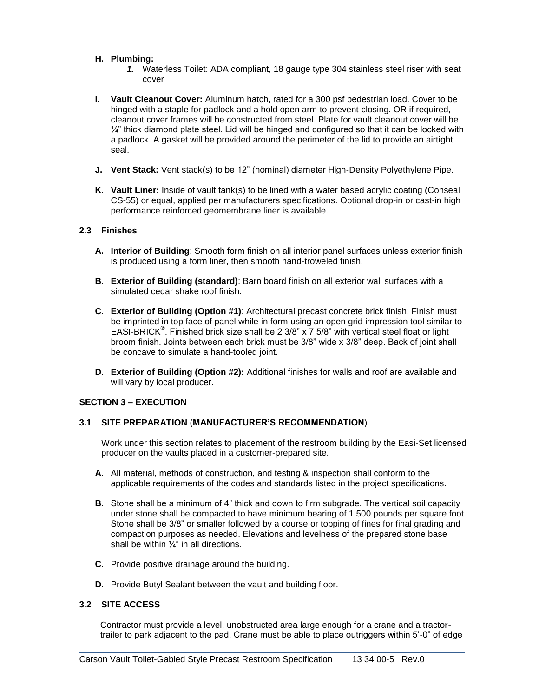### **H. Plumbing:**

- *1.* Waterless Toilet: ADA compliant, 18 gauge type 304 stainless steel riser with seat cover
- **I. Vault Cleanout Cover:** Aluminum hatch, rated for a 300 psf pedestrian load. Cover to be hinged with a staple for padlock and a hold open arm to prevent closing. OR if required, cleanout cover frames will be constructed from steel. Plate for vault cleanout cover will be  $\frac{1}{4}$ " thick diamond plate steel. Lid will be hinged and configured so that it can be locked with a padlock. A gasket will be provided around the perimeter of the lid to provide an airtight seal.
- **J. Vent Stack:** Vent stack(s) to be 12" (nominal) diameter High-Density Polyethylene Pipe.
- **K. Vault Liner:** Inside of vault tank(s) to be lined with a water based acrylic coating (Conseal CS-55) or equal, applied per manufacturers specifications. Optional drop-in or cast-in high performance reinforced geomembrane liner is available.

### **2.3 Finishes**

- **A. Interior of Building**: Smooth form finish on all interior panel surfaces unless exterior finish is produced using a form liner, then smooth hand-troweled finish.
- **B. Exterior of Building (standard)**: Barn board finish on all exterior wall surfaces with a simulated cedar shake roof finish.
- **C. Exterior of Building (Option #1)**: Architectural precast concrete brick finish: Finish must be imprinted in top face of panel while in form using an open grid impression tool similar to EASI-BRICK**®** . Finished brick size shall be 2 3/8" x 7 5/8" with vertical steel float or light broom finish. Joints between each brick must be 3/8" wide x 3/8" deep. Back of joint shall be concave to simulate a hand-tooled joint.
- **D. Exterior of Building (Option #2):** Additional finishes for walls and roof are available and will vary by local producer.

### **SECTION 3 – EXECUTION**

# **3.1 SITE PREPARATION** (**MANUFACTURER'S RECOMMENDATION**)

Work under this section relates to placement of the restroom building by the Easi-Set licensed producer on the vaults placed in a customer-prepared site.

- **A.** All material, methods of construction, and testing & inspection shall conform to the applicable requirements of the codes and standards listed in the project specifications.
- **B.** Stone shall be a minimum of 4" thick and down to firm subgrade. The vertical soil capacity under stone shall be compacted to have minimum bearing of 1,500 pounds per square foot. Stone shall be 3/8" or smaller followed by a course or topping of fines for final grading and compaction purposes as needed. Elevations and levelness of the prepared stone base shall be within  $\frac{1}{4}$ " in all directions.
- **C.** Provide positive drainage around the building.
- **D.** Provide Butyl Sealant between the vault and building floor.

# **3.2 SITE ACCESS**

Contractor must provide a level, unobstructed area large enough for a crane and a tractortrailer to park adjacent to the pad. Crane must be able to place outriggers within 5'-0" of edge